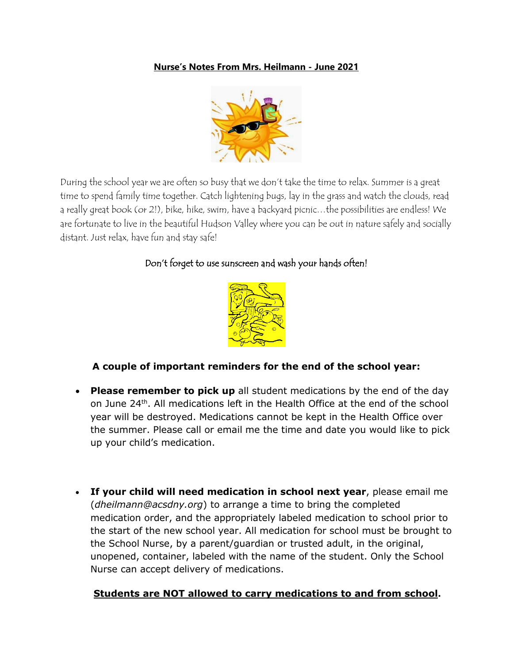### **Nurse's Notes From Mrs. Heilmann - June 2021**



During the school year we are often so busy that we don't take the time to relax. Summer is a great time to spend family time together. Catch lightening bugs, lay in the grass and watch the clouds, read a really great book (or 2!), bike, hike, swim, have a backyard picnic…the possibilities are endless! We are fortunate to live in the beautiful Hudson Valley where you can be out in nature safely and socially distant. Just relax, have fun and stay safe!

## Don't forget to use sunscreen and wash your hands often!



# **A couple of important reminders for the end of the school year:**

- **Please remember to pick up** all student medications by the end of the day on June 24th. All medications left in the Health Office at the end of the school year will be destroyed. Medications cannot be kept in the Health Office over the summer. Please call or email me the time and date you would like to pick up your child's medication.
- **If your child will need medication in school next year**, please email me (*dheilmann@acsdny.org*) to arrange a time to bring the completed medication order, and the appropriately labeled medication to school prior to the start of the new school year. All medication for school must be brought to the School Nurse, by a parent/guardian or trusted adult, in the original, unopened, container, labeled with the name of the student. Only the School Nurse can accept delivery of medications.

### **Students are NOT allowed to carry medications to and from school.**